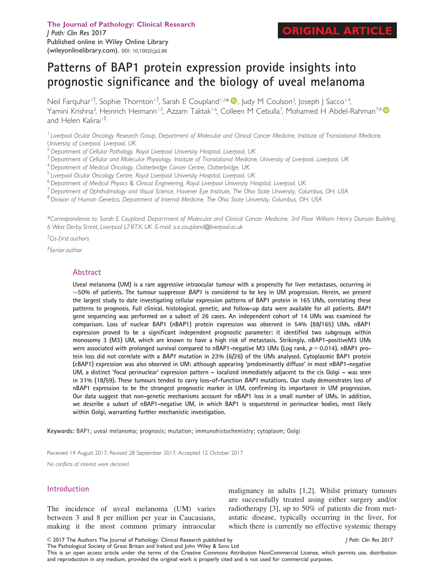# Patterns of BAP1 protein expression provide insights into prognostic significance and the biology of uveal melanoma

Neil Farquhar<sup>i†</sup>, Sophie Thornton<sup>i†</sup>, Sarah E Coupland<sup>1,2</sup>\* ®, Judy M Coulson<sup>3</sup>, Joseph J Sacco<sup>1,4</sup>, Yamini Krishna<sup>2</sup>, Heinrich Heimann<sup>1,5</sup>, Azzam Taktak<sup>1,6</sup>, Colleen M Cebulla<sup>7</sup>, Mohamed H Abdel-Rahman<sup>7,8</sup> and Helen Kalirai<sup>1‡</sup>

<sup>1</sup> Liverpool Ocular Oncology Research Group, Department of Molecular and Clinical Cancer Medicine, Institute of Translational Medicine, University of Liverpool, Liverpool, UK

<sup>2</sup> Department of Cellular Pathology, Royal Liverpool University Hospital, Liverpool, UK

<sup>3</sup> Department of Cellular and Molecular Physiology, Institute of Translational Medicine, University of Liverpool, Liverpool, UK

<sup>4</sup> Department of Medical Oncology, Clatterbridge Cancer Centre, Clatterbridge, UK

<sup>5</sup> Liverpool Ocular Oncology Centre, Royal Liverpool University Hospital, Liverpool, UK

<sup>6</sup>Department of Medical Physics & Clinical Engineering, Royal Liverpool University Hospital, Liverpool, UK

<sup>7</sup> Department of Ophthalmology and Visual Science, Havener Eye Institute, The Ohio State University, Columbus, OH, USA

8 Division of Human Genetics, Department of Internal Medicine, The Ohio State University, Columbus, OH, USA

\*Correspondence to: Sarah E Coupland, Department of Molecular and Clinical Cancer Medicine, 3rd Floor William Henry Duncan Building, 6 West Derby Street, Liverpool L7 8TX,UK. E-mail: s.e.coupland@liverpool.ac.uk

† Co-first authors

 ${}^{\textstyle \#}$ Senior author

## Abstract

Uveal melanoma (UM) is a rare aggressive intraocular tumour with a propensity for liver metastases, occurring in  $\sim$ 50% of patients. The tumour suppressor *BAP1* is considered to be key in UM progression. Herein, we present the largest study to date investigating cellular expression patterns of BAP1 protein in 165 UMs, correlating these patterns to prognosis. Full clinical, histological, genetic, and follow-up data were available for all patients. BAP1 gene sequencing was performed on a subset of 26 cases. An independent cohort of 14 UMs was examined for comparison. Loss of nuclear BAP1 (nBAP1) protein expression was observed in 54% (88/165) UMs. nBAP1 expression proved to be a significant independent prognostic parameter: it identified two subgroups within monosomy 3 (M3) UM, which are known to have a high risk of metastasis. Strikingly, nBAP1-positiveM3 UMs were associated with prolonged survival compared to nBAP1-negative M3 UMs (Log rank,  $p = 0.014$ ). nBAP1 protein loss did not correlate with a BAP1 mutation in 23% (6/26) of the UMs analysed. Cytoplasmic BAP1 protein (cBAP1) expression was also observed in UM: although appearing 'predominantly diffuse' in most nBAP1-negative UM, a distinct 'focal perinuclear' expression pattern – localized immediately adjacent to the cis Golgi – was seen in 31% (18/59). These tumours tended to carry loss-of-function BAP1 mutations. Our study demonstrates loss of nBAP1 expression to be the strongest prognostic marker in UM, confirming its importance in UM progression. Our data suggest that non-genetic mechanisms account for nBAP1 loss in a small number of UMs. In addition, we describe a subset of nBAP1-negative UM, in which BAP1 is sequestered in perinuclear bodies, most likely within Golgi, warranting further mechanistic investigation.

Keywords: BAP1; uveal melanoma; prognosis; mutation; immunohistochemistry; cytoplasm; Golgi

Received 14 August 2017; Revised 28 September 2017; Accepted 12 October 2017

No conflicts of interest were declared.

## Introduction

The incidence of uveal melanoma (UM) varies between 3 and 8 per million per year in Caucasians, making it the most common primary intraocular

malignancy in adults [1,2]. Whilst primary tumours are successfully treated using either surgery and/or radiotherapy [3], up to 50% of patients die from metastatic disease, typically occurring in the liver, for which there is currently no effective systemic therapy

 $© 2017$  The Authors The Journal of Pathology: Clinical Research published by

The Pathological Society of Great Britain and Ireland and John Wiley & Sons Ltd

This is an open access article under the terms of the Creative Commons Attribution NonCommercial License, which permits use, distribution and reproduction in any medium, provided the original work is properly cited and is not used for commercial purposes.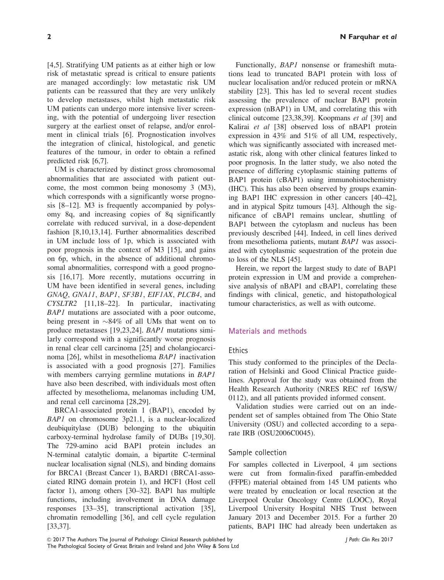[4,5]. Stratifying UM patients as at either high or low risk of metastatic spread is critical to ensure patients are managed accordingly: low metastatic risk UM patients can be reassured that they are very unlikely to develop metastases, whilst high metastatic risk UM patients can undergo more intensive liver screening, with the potential of undergoing liver resection surgery at the earliest onset of relapse, and/or enrolment in clinical trials [6]. Prognostication involves the integration of clinical, histological, and genetic features of the tumour, in order to obtain a refined predicted risk [6,7].

UM is characterized by distinct gross chromosomal abnormalities that are associated with patient outcome, the most common being monosomy 3 (M3), which corresponds with a significantly worse prognosis [8–12]. M3 is frequently accompanied by polysomy 8q, and increasing copies of 8q significantly correlate with reduced survival, in a dose-dependent fashion [8,10,13,14]. Further abnormalities described in UM include loss of 1p, which is associated with poor prognosis in the context of M3 [15], and gains on 6p, which, in the absence of additional chromosomal abnormalities, correspond with a good prognosis [16,17]. More recently, mutations occurring in UM have been identified in several genes, including GNAQ, GNA11, BAP1, SF3B1, EIF1AX, PLCB4, and CYSLTR2 [11,18–22]. In particular, inactivating BAP1 mutations are associated with a poor outcome, being present in  $\sim 84\%$  of all UMs that went on to produce metastases [19,23,24]. BAP1 mutations similarly correspond with a significantly worse prognosis in renal clear cell carcinoma [25] and cholangiocarcinoma [26], whilst in mesothelioma BAP1 inactivation is associated with a good prognosis [27]. Families with members carrying germline mutations in *BAP1* have also been described, with individuals most often affected by mesothelioma, melanomas including UM, and renal cell carcinoma [28,29].

BRCA1-associated protein 1 (BAP1), encoded by BAP1 on chromosome 3p21.1, is a nuclear-localized deubiquitylase (DUB) belonging to the ubiquitin carboxy-terminal hydrolase family of DUBs [19,30]. The 729-amino acid BAP1 protein includes an N-terminal catalytic domain, a bipartite C-terminal nuclear localisation signal (NLS), and binding domains for BRCA1 (Breast Cancer 1), BARD1 (BRCA1-associated RING domain protein 1), and HCF1 (Host cell factor 1), among others [30–32]. BAP1 has multiple functions, including involvement in DNA damage responses [33–35], transcriptional activation [35], chromatin remodelling [36], and cell cycle regulation [33,37].

Functionally, BAP1 nonsense or frameshift mutations lead to truncated BAP1 protein with loss of nuclear localisation and/or reduced protein or mRNA stability [23]. This has led to several recent studies assessing the prevalence of nuclear BAP1 protein expression (nBAP1) in UM, and correlating this with clinical outcome [23,38,39]. Koopmans et al [39] and Kalirai et al [38] observed loss of nBAP1 protein expression in 43% and 51% of all UM, respectively, which was significantly associated with increased metastatic risk, along with other clinical features linked to poor prognosis. In the latter study, we also noted the presence of differing cytoplasmic staining patterns of BAP1 protein (cBAP1) using immunohistochemistry (IHC). This has also been observed by groups examining BAP1 IHC expression in other cancers [40–42], and in atypical Spitz tumours [43]. Although the significance of cBAP1 remains unclear, shuttling of BAP1 between the cytoplasm and nucleus has been previously described [44]. Indeed, in cell lines derived from mesothelioma patients, mutant BAP1 was associated with cytoplasmic sequestration of the protein due to loss of the NLS [45].

Herein, we report the largest study to date of BAP1 protein expression in UM and provide a comprehensive analysis of nBAP1 and cBAP1, correlating these findings with clinical, genetic, and histopathological tumour characteristics, as well as with outcome.

# Materials and methods

# **Fthics**

This study conformed to the principles of the Declaration of Helsinki and Good Clinical Practice guidelines. Approval for the study was obtained from the Health Research Authority (NRES REC ref 16/SW/ 0112), and all patients provided informed consent.

Validation studies were carried out on an independent set of samples obtained from The Ohio State University (OSU) and collected according to a separate IRB (OSU2006C0045).

#### Sample collection

For samples collected in Liverpool,  $4 \mu m$  sections were cut from formalin-fixed paraffin-embedded (FFPE) material obtained from 145 UM patients who were treated by enucleation or local resection at the Liverpool Ocular Oncology Centre (LOOC), Royal Liverpool University Hospital NHS Trust between January 2013 and December 2015. For a further 20 patients, BAP1 IHC had already been undertaken as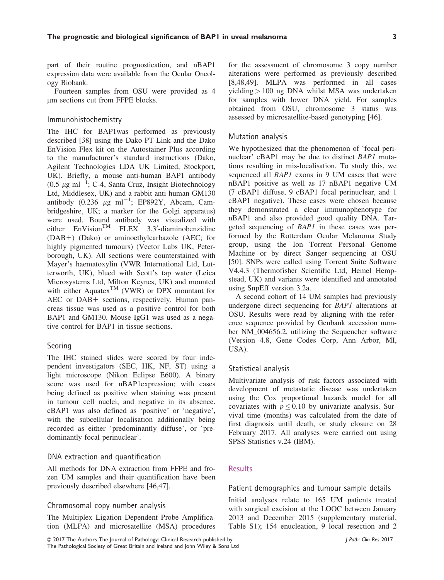part of their routine prognostication, and nBAP1 expression data were available from the Ocular Oncology Biobank.

Fourteen samples from OSU were provided as 4 mm sections cut from FFPE blocks.

## Immunohistochemistry

The IHC for BAP1was performed as previously described [38] using the Dako PT Link and the Dako EnVision Flex kit on the Autostainer Plus according to the manufacturer's standard instructions (Dako, Agilent Technologies LDA UK Limited, Stockport, UK). Briefly, a mouse anti-human BAP1 antibody  $(0.5 \ \mu g \ m l^{-1}$ ; C-4, Santa Cruz, Insight Biotechnology Ltd, Middlesex, UK) and a rabbit anti-human GM130 antibody  $(0.236 \mu g \text{ ml}^{-1})$ ; EP892Y, Abcam, Cambridgeshire, UK; a marker for the Golgi apparatus) were used. Bound antibody was visualized with either  $\text{En Vision}^{\text{TM}}$  FLEX 3,3'-diaminobenzidine (DAB+) (Dako) or aminoethylcarbazole (AEC; for highly pigmented tumours) (Vector Labs UK, Peterborough, UK). All sections were counterstained with Mayer's haematoxylin (VWR International Ltd, Lutterworth, UK), blued with Scott's tap water (Leica Microsystems Ltd, Milton Keynes, UK) and mounted with either Aquatex<sup>TM</sup> (VWR) or DPX mountant for  $AEC$  or  $DAB+$  sections, respectively. Human pancreas tissue was used as a positive control for both BAP1 and GM130. Mouse IgG1 was used as a negative control for BAP1 in tissue sections.

# Scoring

The IHC stained slides were scored by four independent investigators (SEC, HK, NF, ST) using a light microscope (Nikon Eclipse E600). A binary score was used for nBAP1expression; with cases being defined as positive when staining was present in tumour cell nuclei, and negative in its absence. cBAP1 was also defined as 'positive' or 'negative', with the subcellular localisation additionally being recorded as either 'predominantly diffuse', or 'predominantly focal perinuclear'.

# DNA extraction and quantification

All methods for DNA extraction from FFPE and frozen UM samples and their quantification have been previously described elsewhere [46,47].

# Chromosomal copy number analysis

The Multiplex Ligation Dependent Probe Amplification (MLPA) and microsatellite (MSA) procedures

for the assessment of chromosome 3 copy number alterations were performed as previously described [8,48,49]. MLPA was performed in all cases yielding > 100 ng DNA whilst MSA was undertaken for samples with lower DNA yield. For samples obtained from OSU, chromosome 3 status was assessed by microsatellite-based genotyping [46].

# Mutation analysis

We hypothesized that the phenomenon of 'focal perinuclear' cBAP1 may be due to distinct BAP1 mutations resulting in mis-localisation. To study this, we sequenced all BAP1 exons in 9 UM cases that were nBAP1 positive as well as 17 nBAP1 negative UM (7 cBAP1 diffuse, 9 cBAP1 focal perinuclear, and 1 cBAP1 negative). These cases were chosen because they demonstrated a clear immunophenotype for nBAP1 and also provided good quality DNA. Targeted sequencing of BAP1 in these cases was performed by the Rotterdam Ocular Melanoma Study group, using the Ion Torrent Personal Genome Machine or by direct Sanger sequencing at OSU [50]. SNPs were called using Torrent Suite Software V4.4.3 (Thermofisher Scientific Ltd, Hemel Hempstead, UK) and variants were identified and annotated using SnpEff version 3.2a.

A second cohort of 14 UM samples had previously undergone direct sequencing for BAP1 alterations at OSU. Results were read by aligning with the reference sequence provided by Genbank accession number NM\_004656.2, utilizing the Sequencher software (Version 4.8, Gene Codes Corp, Ann Arbor, MI, USA).

# Statistical analysis

Multivariate analysis of risk factors associated with development of metastatic disease was undertaken using the Cox proportional hazards model for all covariates with  $p \le 0.10$  by univariate analysis. Survival time (months) was calculated from the date of first diagnosis until death, or study closure on 28 February 2017. All analyses were carried out using SPSS Statistics v.24 (IBM).

# **Results**

Patient demographics and tumour sample details

Initial analyses relate to 165 UM patients treated with surgical excision at the LOOC between January 2013 and December 2015 (supplementary material, Table S1); 154 enucleation, 9 local resection and 2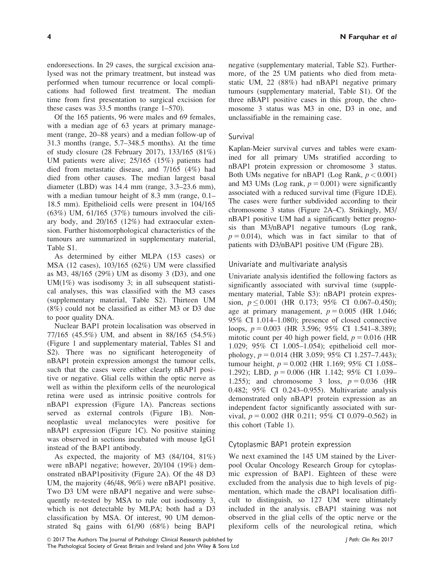endoresections. In 29 cases, the surgical excision analysed was not the primary treatment, but instead was performed when tumour recurrence or local complications had followed first treatment. The median time from first presentation to surgical excision for these cases was 33.5 months (range 1–570).

Of the 165 patients, 96 were males and 69 females, with a median age of 63 years at primary management (range, 20–88 years) and a median follow-up of 31.3 months (range, 5.7–348.5 months). At the time of study closure (28 February 2017), 133/165 (81%) UM patients were alive; 25/165 (15%) patients had died from metastatic disease, and 7/165 (4%) had died from other causes. The median largest basal diameter (LBD) was 14.4 mm (range, 3.3–23.6 mm), with a median tumour height of 8.3 mm (range, 0.1– 18.5 mm). Epithelioid cells were present in 104/165  $(63\%)$  UM,  $61/165$   $(37\%)$  tumours involved the ciliary body, and 20/165 (12%) had extraocular extension. Further histomorphological characteristics of the tumours are summarized in supplementary material, Table S1.

As determined by either MLPA (153 cases) or MSA (12 cases), 103/165 (62%) UM were classified as M3, 48/165 (29%) UM as disomy 3 (D3), and one UM $(1%)$  was isodisomy 3; in all subsequent statistical analyses, this was classified with the M3 cases (supplementary material, Table S2). Thirteen UM (8%) could not be classified as either M3 or D3 due to poor quality DNA.

Nuclear BAP1 protein localisation was observed in 77/165 (45.5%) UM, and absent in 88/165 (54.5%) (Figure 1 and supplementary material, Tables S1 and S2). There was no significant heterogeneity of nBAP1 protein expression amongst the tumour cells, such that the cases were either clearly nBAP1 positive or negative. Glial cells within the optic nerve as well as within the plexiform cells of the neurological retina were used as intrinsic positive controls for nBAP1 expression (Figure 1A). Pancreas sections served as external controls (Figure 1B). Nonneoplastic uveal melanocytes were positive for nBAP1 expression (Figure 1C). No positive staining was observed in sections incubated with mouse IgG1 instead of the BAP1 antibody.

As expected, the majority of M3 (84/104, 81%) were nBAP1 negative; however, 20/104 (19%) demonstrated nBAP1positivity (Figure 2A). Of the 48 D3 UM, the majority (46/48, 96%) were nBAP1 positive. Two D3 UM were nBAP1 negative and were subsequently re-tested by MSA to rule out isodisomy 3, which is not detectable by MLPA; both had a D3 classification by MSA. Of interest, 90 UM demonstrated 8q gains with 61/90 (68%) being BAP1

negative (supplementary material, Table S2). Furthermore, of the 25 UM patients who died from metastatic UM, 22 (88%) had nBAP1 negative primary tumours (supplementary material, Table S1). Of the three nBAP1 positive cases in this group, the chromosome 3 status was M3 in one, D3 in one, and unclassifiable in the remaining case.

#### Survival

Kaplan-Meier survival curves and tables were examined for all primary UMs stratified according to nBAP1 protein expression or chromosome 3 status. Both UMs negative for nBAP1 (Log Rank,  $p < 0.001$ ) and M3 UMs (Log rank,  $p = 0.001$ ) were significantly associated with a reduced survival time (Figure 1D,E). The cases were further subdivided according to their chromosome 3 status (Figure 2A–C). Strikingly, M3/ nBAP1 positive UM had a significantly better prognosis than M3/nBAP1 negative tumours (Log rank,  $p = 0.014$ ), which was in fact similar to that of patients with D3/nBAP1 positive UM (Figure 2B).

#### Univariate and multivariate analysis

Univariate analysis identified the following factors as significantly associated with survival time (supplementary material, Table S3): nBAP1 protein expression,  $p \le 0.001$  (HR 0.173; 95% CI 0.067-0.450); age at primary management,  $p = 0.005$  (HR 1.046; 95% CI 1.014–1.080); presence of closed connective loops,  $p = 0.003$  (HR 3.596; 95% CI 1.541–8.389); mitotic count per 40 high power field,  $p = 0.016$  (HR 1.029; 95% CI 1.005–1.054); epithelioid cell morphology,  $p = 0.014$  (HR 3.059; 95% CI 1.257–7.443); tumour height,  $p = 0.002$  (HR 1.169; 95% CI 1.058– 1.292); LBD,  $p = 0.006$  (HR 1.142; 95% CI 1.039– 1.255); and chromosome 3 loss,  $p = 0.036$  (HR 0.482; 95% CI 0.243–0.955). Multivariate analysis demonstrated only nBAP1 protein expression as an independent factor significantly associated with survival,  $p = 0.002$  (HR 0.211; 95% CI 0.079–0.562) in this cohort (Table 1).

#### Cytoplasmic BAP1 protein expression

We next examined the 145 UM stained by the Liverpool Ocular Oncology Research Group for cytoplasmic expression of BAP1. Eighteen of these were excluded from the analysis due to high levels of pigmentation, which made the cBAP1 localisation difficult to distinguish, so 127 UM were ultimately included in the analysis. cBAP1 staining was not observed in the glial cells of the optic nerve or the plexiform cells of the neurological retina, which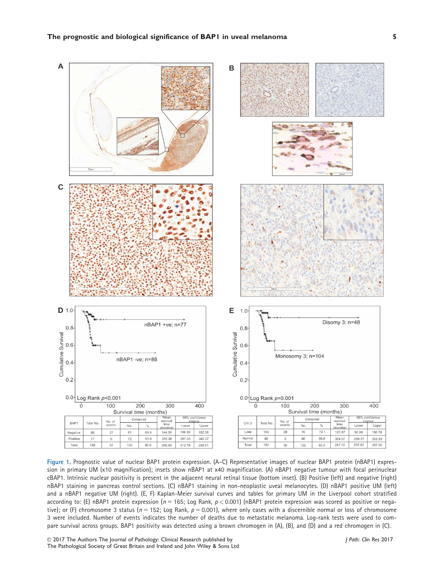

Figure 1. Prognostic value of nuclear BAP1 protein expression. (A–C) Representative images of nuclear BAP1 protein (nBAP1) expression in primary UM (x10 magnification); insets show nBAP1 at x40 magnification. (A) nBAP1 negative tumour with focal perinuclear cBAP1. Intrinsic nuclear positivity is present in the adjacent neural retinal tissue (bottom inset). (B) Positive (left) and negative (right) nBAP1 staining in pancreas control sections. (C) nBAP1 staining in non-neoplastic uveal melanocytes. (D) nBAP1 positive UM (left) and a nBAP1 negative UM (right). (E, F) Kaplan-Meier survival curves and tables for primary UM in the Liverpool cohort stratified according to: (E) nBAP1 protein expression ( $n = 165$ ; Log Rank,  $p < 0.001$ ) (nBAP1 protein expression was scored as positive or negative); or (F) chromosome 3 status ( $n = 152$ ; Log Rank,  $p = 0.001$ ), where only cases with a discernible normal or loss of chromosome 3 were included. Number of events indicates the number of deaths due to metastatic melanoma. Log-rank tests were used to compare survival across groups. BAP1 positivity was detected using a brown chromogen in (A), (B), and (D) and a red chromogen in (C).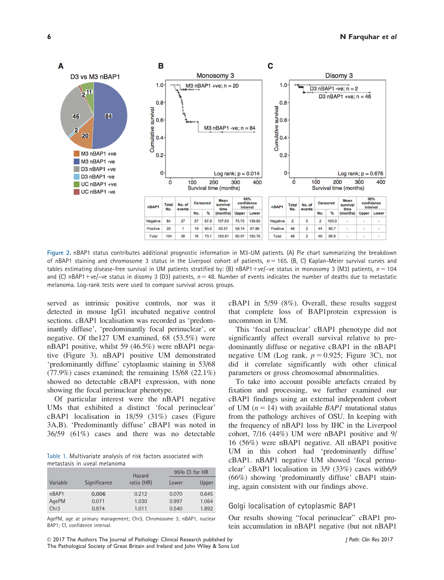

Figure 2. nBAP1 status contributes additional prognostic information in M3-UM patients. (A) Pie chart summarizing the breakdown of nBAP1 staining and chromosome 3 status in the Liverpool cohort of patients,  $n = 165$ . (B, C) Kaplan-Meier survival curves and tables estimating disease-free survival in UM patients stratified by: (B) nBAP1+ve/-ve status in monosomy 3 (M3) patients,  $n = 104$ and (C) nBAP1+ve/-ve status in disomy 3 (D3) patients,  $n = 48$ . Number of events indicates the number of deaths due to metastatic melanoma. Log-rank tests were used to compare survival across groups.

served as intrinsic positive controls, nor was it detected in mouse IgG1 incubated negative control sections. cBAP1 localisation was recorded as 'predominantly diffuse', 'predominantly focal perinuclear', or negative. Of the127 UM examined, 68 (53.5%) were nBAP1 positive, whilst 59 (46.5%) were nBAP1 negative (Figure 3). nBAP1 positive UM demonstrated 'predominantly diffuse' cytoplasmic staining in 53/68  $(77.9\%)$  cases examined; the remaining  $15/68$   $(22.1\%)$ showed no detectable cBAP1 expression, with none showing the focal perinuclear phenotype.

Of particular interest were the nBAP1 negative UMs that exhibited a distinct 'focal perinuclear' cBAP1 localisation in 18/59 (31%) cases (Figure 3A,B). 'Predominantly diffuse' cBAP1 was noted in 36/59 (61%) cases and there was no detectable

Table 1. Multivariate analysis of risk factors associated with metastasis in uveal melanoma

|          |              | Hazard     | 95% CI for HR |       |
|----------|--------------|------------|---------------|-------|
| Variable | Significance | ratio (HR) | Lower         | Upper |
| nBAP1    | 0.006        | 0.212      | 0.070         | 0.645 |
| AgePM    | 0.071        | 1.030      | 0.997         | 1.064 |
| Chr3     | 0.974        | 1.011      | 0.540         | 1.892 |

AgePM, age at primary management; Chr3, Chromosome 3; nBAP1, nuclear BAP1; CI, confidence interval.

cBAP1 in 5/59 (8%). Overall, these results suggest that complete loss of BAP1protein expression is uncommon in UM.

This 'focal perinuclear' cBAP1 phenotype did not significantly affect overall survival relative to predominantly diffuse or negative cBAP1 in the nBAP1 negative UM (Log rank,  $p = 0.925$ ; Figure 3C), nor did it correlate significantly with other clinical parameters or gross chromosomal abnormalities.

To take into account possible artefacts created by fixation and processing, we further examined our cBAP1 findings using an external independent cohort of UM ( $n = 14$ ) with available *BAP1* mutational status from the pathology archives of OSU. In keeping with the frequency of nBAP1 loss by IHC in the Liverpool cohort, 7/16 (44%) UM were nBAP1 positive and 9/ 16 (56%) were nBAP1 negative. All nBAP1 positive UM in this cohort had 'predominantly diffuse' cBAP1. nBAP1 negative UM showed 'focal perinuclear' cBAP1 localisation in 3/9 (33%) cases with6/9 (66%) showing 'predominantly diffuse' cBAP1 staining, again consistent with our findings above.

## Golgi localisation of cytoplasmic BAP1

Our results showing "focal perinuclear" cBAP1 protein accumulation in nBAP1 negative (but not nBAP1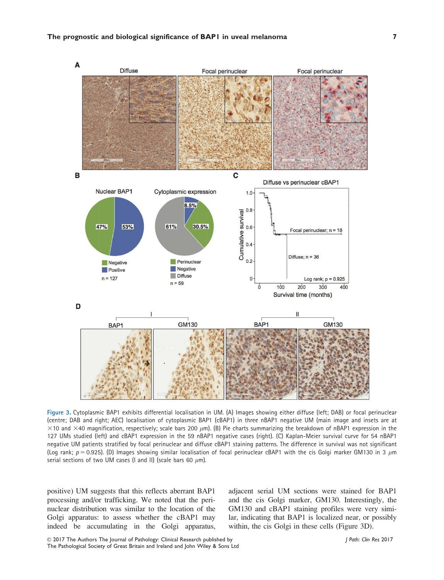

Figure 3. Cytoplasmic BAP1 exhibits differential localisation in UM. (A) Images showing either diffuse (left; DAB) or focal perinuclear (centre; DAB and right; AEC) localisation of cytoplasmic BAP1 (cBAP1) in three nBAP1 negative UM (main image and insets are at  $\times$ 10 and  $\times$ 40 magnification, respectively; scale bars 200  $\mu$ m). (B) Pie charts summarizing the breakdown of nBAP1 expression in the 127 UMs studied (left) and cBAP1 expression in the 59 nBAP1 negative cases (right). (C) Kaplan-Meier survival curve for 54 nBAP1 negative UM patients stratified by focal perinuclear and diffuse cBAP1 staining patterns. The difference in survival was not significant (Log rank;  $p = 0.925$ ). (D) Images showing similar localisation of focal perinuclear cBAP1 with the cis Golgi marker GM130 in 3  $\mu$ m serial sections of two UM cases (I and II) (scale bars 60  $\mu$ m).

positive) UM suggests that this reflects aberrant BAP1 processing and/or trafficking. We noted that the perinuclear distribution was similar to the location of the Golgi apparatus: to assess whether the cBAP1 may indeed be accumulating in the Golgi apparatus, adjacent serial UM sections were stained for BAP1 and the cis Golgi marker, GM130. Interestingly, the GM130 and cBAP1 staining profiles were very similar, indicating that BAP1 is localized near, or possibly within, the cis Golgi in these cells (Figure 3D).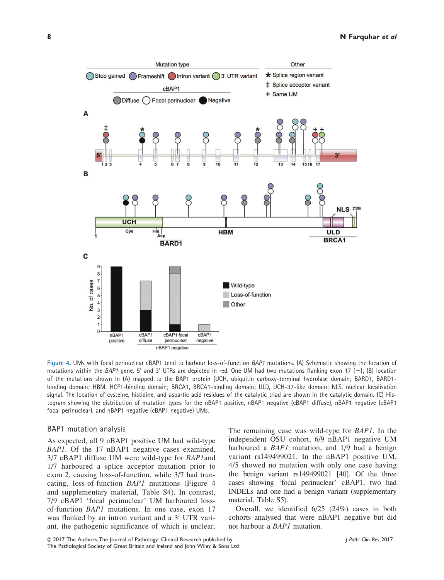Other





Figure 4. UMs with focal perinuclear cBAP1 tend to harbour loss-of-function BAP1 mutations. (A) Schematic showing the location of mutations within the BAP1 gene. 5' and 3' UTRs are depicted in red. One UM had two mutations flanking exon 17 (+); (B) location of the mutations shown in (A) mapped to the BAP1 protein (UCH, ubiquitin carboxy-terminal hydrolase domain; BARD1, BARD1 binding domain; HBM, HCF1-binding domain; BRCA1, BRCA1-binding domain; ULD, UCH-37-like domain; NLS, nuclear localisation signal. The location of cysteine, histidine, and aspartic acid residues of the catalytic triad are shown in the catalytic domain. (C) Histogram showing the distribution of mutation types for the nBAP1 positive, nBAP1 negative (cBAP1 diffuse), nBAP1 negative (cBAP1 focal perinuclear), and nBAP1 negative (cBAP1 negative) UMs.

#### BAP1 mutation analysis

As expected, all 9 nBAP1 positive UM had wild-type BAP1. Of the 17 nBAP1 negative cases examined, 3/7 cBAP1 diffuse UM were wild-type for BAP1and 1/7 harboured a splice acceptor mutation prior to exon 2, causing loss-of-function, while 3/7 had truncating, loss-of-function BAP1 mutations (Figure 4 and supplementary material, Table S4). In contrast, 7/9 cBAP1 'focal perinuclear' UM harboured lossof-function BAP1 mutations. In one case, exon 17 was flanked by an intron variant and a  $3'$  UTR variant, the pathogenic significance of which is unclear.

The remaining case was wild-type for BAP1. In the independent OSU cohort, 6/9 nBAP1 negative UM harboured a *BAP1* mutation, and 1/9 had a benign variant rs149499021. In the nBAP1 positive UM, 4/5 showed no mutation with only one case having the benign variant rs149499021 [40]. Of the three cases showing 'focal perinuclear' cBAP1, two had INDELs and one had a benign variant (supplementary material, Table S5).

Overall, we identified 6/25 (24%) cases in both cohorts analysed that were nBAP1 negative but did not harbour a BAP1 mutation.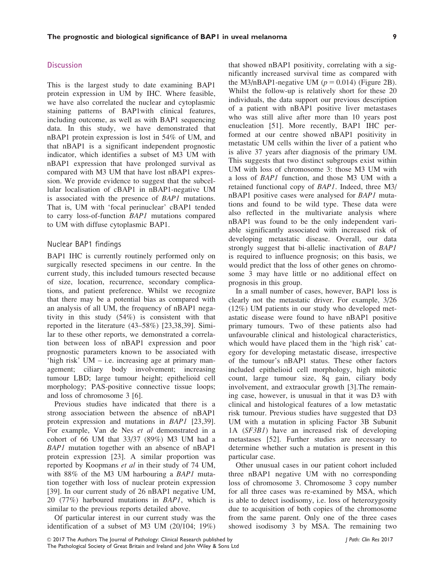#### **Discussion**

This is the largest study to date examining BAP1 protein expression in UM by IHC. Where feasible, we have also correlated the nuclear and cytoplasmic staining patterns of BAP1with clinical features, including outcome, as well as with BAP1 sequencing data. In this study, we have demonstrated that nBAP1 protein expression is lost in 54% of UM, and that nBAP1 is a significant independent prognostic indicator, which identifies a subset of M3 UM with nBAP1 expression that have prolonged survival as compared with M3 UM that have lost nBAP1 expression. We provide evidence to suggest that the subcellular localisation of cBAP1 in nBAP1-negative UM is associated with the presence of BAP1 mutations. That is, UM with 'focal perinuclear' cBAP1 tended to carry loss-of-function BAP1 mutations compared to UM with diffuse cytoplasmic BAP1.

## Nuclear BAP1 findings

BAP1 IHC is currently routinely performed only on surgically resected specimens in our centre. In the current study, this included tumours resected because of size, location, recurrence, secondary complications, and patient preference. Whilst we recognize that there may be a potential bias as compared with an analysis of all UM, the frequency of nBAP1 negativity in this study (54%) is consistent with that reported in the literature (43–58%) [23,38,39]. Similar to these other reports, we demonstrated a correlation between loss of nBAP1 expression and poor prognostic parameters known to be associated with 'high risk' UM – i.e. increasing age at primary management; ciliary body involvement; increasing tumour LBD; large tumour height; epithelioid cell morphology; PAS-positive connective tissue loops; and loss of chromosome 3 [6].

Previous studies have indicated that there is a strong association between the absence of nBAP1 protein expression and mutations in BAP1 [23,39]. For example, Van de Nes et al demonstrated in a cohort of 66 UM that 33/37 (89%) M3 UM had a BAP1 mutation together with an absence of nBAP1 protein expression [23]. A similar proportion was reported by Koopmans et al in their study of 74 UM, with 88% of the M3 UM harbouring a BAP1 mutation together with loss of nuclear protein expression [39]. In our current study of 26 nBAP1 negative UM, 20 (77%) harboured mutations in BAP1, which is similar to the previous reports detailed above.

Of particular interest in our current study was the identification of a subset of M3 UM (20/104; 19%) that showed nBAP1 positivity, correlating with a significantly increased survival time as compared with the M3/nBAP1-negative UM ( $p = 0.014$ ) (Figure 2B). Whilst the follow-up is relatively short for these 20 individuals, the data support our previous description of a patient with nBAP1 positive liver metastases who was still alive after more than 10 years post enucleation [51]. More recently, BAP1 IHC performed at our centre showed nBAP1 positivity in metastatic UM cells within the liver of a patient who is alive 37 years after diagnosis of the primary UM. This suggests that two distinct subgroups exist within UM with loss of chromosome 3: those M3 UM with a loss of BAP1 function, and those M3 UM with a retained functional copy of BAP1. Indeed, three M3/ nBAP1 positive cases were analysed for BAP1 mutations and found to be wild type. These data were also reflected in the multivariate analysis where nBAP1 was found to be the only independent variable significantly associated with increased risk of developing metastatic disease. Overall, our data strongly suggest that bi-allelic inactivation of BAP1 is required to influence prognosis; on this basis, we would predict that the loss of other genes on chromosome 3 may have little or no additional effect on prognosis in this group.

In a small number of cases, however, BAP1 loss is clearly not the metastatic driver. For example, 3/26 (12%) UM patients in our study who developed metastatic disease were found to have nBAP1 positive primary tumours. Two of these patients also had unfavourable clinical and histological characteristics, which would have placed them in the 'high risk' category for developing metastatic disease, irrespective of the tumour's nBAP1 status. These other factors included epithelioid cell morphology, high mitotic count, large tumour size, 8q gain, ciliary body involvement, and extraocular growth [3].The remaining case, however, is unusual in that it was D3 with clinical and histological features of a low metastatic risk tumour. Previous studies have suggested that D3 UM with a mutation in splicing Factor 3B Subunit 1A (SF3B1) have an increased risk of developing metastases [52]. Further studies are necessary to determine whether such a mutation is present in this particular case.

Other unusual cases in our patient cohort included three nBAP1 negative UM with no corresponding loss of chromosome 3. Chromosome 3 copy number for all three cases was re-examined by MSA, which is able to detect isodisomy, i.e. loss of heterozygosity due to acquisition of both copies of the chromosome from the same parent. Only one of the three cases showed isodisomy 3 by MSA. The remaining two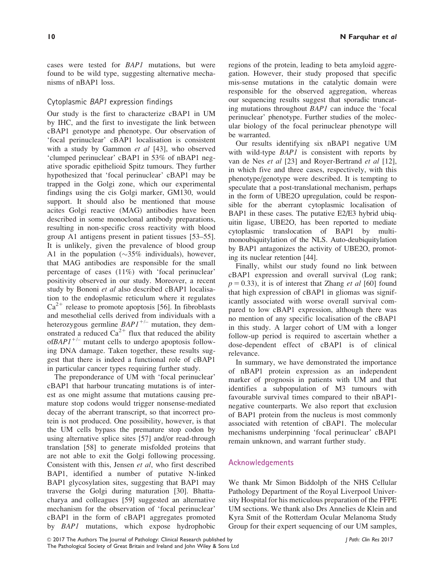cases were tested for BAP1 mutations, but were found to be wild type, suggesting alternative mechanisms of nBAP1 loss.

## Cytoplasmic BAP1 expression findings

Our study is the first to characterize cBAP1 in UM by IHC, and the first to investigate the link between cBAP1 genotype and phenotype. Our observation of 'focal perinuclear' cBAP1 localisation is consistent with a study by Gammon et al [43], who observed 'clumped perinuclear' cBAP1 in 53% of nBAP1 negative sporadic epithelioid Spitz tumours. They further hypothesized that 'focal perinuclear' cBAP1 may be trapped in the Golgi zone, which our experimental findings using the cis Golgi marker, GM130, would support. It should also be mentioned that mouse acites Golgi reactive (MAG) antibodies have been described in some monoclonal antibody preparations, resulting in non-specific cross reactivity with blood group A1 antigens present in patient tissues [53–55]. It is unlikely, given the prevalence of blood group A1 in the population  $(\sim]35\%$  individuals), however, that MAG antibodies are responsible for the small percentage of cases (11%) with 'focal perinuclear' positivity observed in our study. Moreover, a recent study by Bononi et al also described cBAP1 localisation to the endoplasmic reticulum where it regulates  $Ca^{2+}$  release to promote apoptosis [56]. In fibroblasts and mesothelial cells derived from individuals with a heterozygous germline  $BAP1^{+/-}$  mutation, they demonstrated a reduced  $Ca^{2+}$  flux that reduced the ability  $of *BAP1*<sup>+/–</sup> mutant cells to undergo apoptosis follow$ ing DNA damage. Taken together, these results suggest that there is indeed a functional role of cBAP1 in particular cancer types requiring further study.

The preponderance of UM with 'focal perinuclear' cBAP1 that harbour truncating mutations is of interest as one might assume that mutations causing premature stop codons would trigger nonsense-mediated decay of the aberrant transcript, so that incorrect protein is not produced. One possibility, however, is that the UM cells bypass the premature stop codon by using alternative splice sites [57] and/or read-through translation [58] to generate misfolded proteins that are not able to exit the Golgi following processing. Consistent with this, Jensen et al, who first described BAP1, identified a number of putative N-linked BAP1 glycosylation sites, suggesting that BAP1 may traverse the Golgi during maturation [30]. Bhattacharya and colleagues [59] suggested an alternative mechanism for the observation of 'focal perinuclear' cBAP1 in the form of cBAP1 aggregates promoted by BAP1 mutations, which expose hydrophobic

regions of the protein, leading to beta amyloid aggregation. However, their study proposed that specific mis-sense mutations in the catalytic domain were responsible for the observed aggregation, whereas our sequencing results suggest that sporadic truncating mutations throughout BAP1 can induce the 'focal perinuclear' phenotype. Further studies of the molecular biology of the focal perinuclear phenotype will be warranted.

Our results identifying six nBAP1 negative UM with wild-type *BAP1* is consistent with reports by van de Nes et al [23] and Royer-Bertrand et al [12], in which five and three cases, respectively, with this phenotype/genotype were described. It is tempting to speculate that a post-translational mechanism, perhaps in the form of UBE2O upregulation, could be responsible for the aberrant cytoplasmic localisation of BAP1 in these cases. The putative E2/E3 hybrid ubiquitin ligase, UBE2O, has been reported to mediate cytoplasmic translocation of BAP1 by multimonoubiquitylation of the NLS. Auto-deubiquitylation by BAP1 antagonizes the activity of UBE2O, promoting its nuclear retention [44].

Finally, whilst our study found no link between cBAP1 expression and overall survival (Log rank;  $p = 0.33$ ), it is of interest that Zhang *et al* [60] found that high expression of cBAP1 in gliomas was significantly associated with worse overall survival compared to low cBAP1 expression, although there was no mention of any specific localisation of the cBAP1 in this study. A larger cohort of UM with a longer follow-up period is required to ascertain whether a dose-dependent effect of cBAP1 is of clinical relevance.

In summary, we have demonstrated the importance of nBAP1 protein expression as an independent marker of prognosis in patients with UM and that identifies a subpopulation of M3 tumours with favourable survival times compared to their nBAP1 negative counterparts. We also report that exclusion of BAP1 protein from the nucleus is most commonly associated with retention of cBAP1. The molecular mechanisms underpinning 'focal perinuclear' cBAP1 remain unknown, and warrant further study.

## Acknowledgements

We thank Mr Simon Biddolph of the NHS Cellular Pathology Department of the Royal Liverpool University Hospital for his meticulous preparation of the FFPE UM sections. We thank also Drs Annelies de Klein and Kyra Smit of the Rotterdam Ocular Melanoma Study Group for their expert sequencing of our UM samples,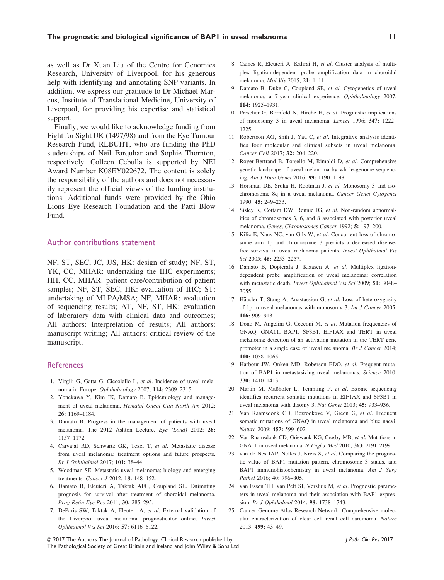as well as Dr Xuan Liu of the Centre for Genomics Research, University of Liverpool, for his generous help with identifying and annotating SNP variants. In addition, we express our gratitude to Dr Michael Marcus, Institute of Translational Medicine, University of Liverpool, for providing his expertise and statistical support.

Finally, we would like to acknowledge funding from Fight for Sight UK (1497/98) and from the Eye Tumour Research Fund, RLBUHT, who are funding the PhD studentships of Neil Farquhar and Sophie Thornton, respectively. Colleen Cebulla is supported by NEI Award Number K08EY022672. The content is solely the responsibility of the authors and does not necessarily represent the official views of the funding institutions. Additional funds were provided by the Ohio Lions Eye Research Foundation and the Patti Blow Fund.

## Author contributions statement

NF, ST, SEC, JC, JJS, HK: design of study; NF, ST, YK, CC, MHAR: undertaking the IHC experiments; HH, CC, MHAR: patient care/contribution of patient samples; NF, ST, SEC, HK: evaluation of IHC; ST: undertaking of MLPA/MSA; NF, MHAR: evaluation of sequencing results; AT, NF, ST, HK: evaluation of laboratory data with clinical data and outcomes; All authors: Interpretation of results; All authors: manuscript writing; All authors: critical review of the manuscript.

#### **References**

- 1. Virgili G, Gatta G, Ciccolallo L, et al. Incidence of uveal melanoma in Europe. Ophthalmology 2007; 114: 2309–2315.
- 2. Yonekawa Y, Kim IK, Damato B. Epidemiology and management of uveal melanoma. Hematol Oncol Clin North Am 2012; 26: 1169–1184.
- 3. Damato B. Progress in the management of patients with uveal melanoma. The 2012 Ashton Lecture. Eye (Lond) 2012; 26: 1157–1172.
- 4. Carvajal RD, Schwartz GK, Tezel T, et al. Metastatic disease from uveal melanoma: treatment options and future prospects. Br J Ophthalmol 2017; 101: 38–44.
- 5. Woodman SE. Metastatic uveal melanoma: biology and emerging treatments. Cancer J 2012; 18: 148–152.
- 6. Damato B, Eleuteri A, Taktak AFG, Coupland SE. Estimating prognosis for survival after treatment of choroidal melanoma. Prog Retin Eye Res 2011; 30: 285–295.
- 7. DeParis SW, Taktak A, Eleuteri A, et al. External validation of the Liverpool uveal melanoma prognosticator online. Invest Ophthalmol Vis Sci 2016; 57: 6116–6122.
- 8. Caines R, Eleuteri A, Kalirai H, et al. Cluster analysis of multiplex ligation-dependent probe amplification data in choroidal melanoma. Mol Vis 2015; 21: 1–11.
- 9. Damato B, Duke C, Coupland SE, et al. Cytogenetics of uveal melanoma: a 7-year clinical experience. Ophthalmology 2007; 114: 1925–1931.
- 10. Prescher G, Bornfeld N, Hirche H, et al. Prognostic implications of monosomy 3 in uveal melanoma. Lancet 1996; 347: 1222– 1225.
- 11. Robertson AG, Shih J, Yau C, et al. Integrative analysis identifies four molecular and clinical subsets in uveal melanoma. Cancer Cell 2017; 32: 204–220.
- 12. Royer-Bertrand B, Torsello M, Rimoldi D, et al. Comprehensive genetic landscape of uveal melanoma by whole-genome sequencing. Am J Hum Genet 2016; 99: 1190–1198.
- 13. Horsman DE, Sroka H, Rootman J, et al. Monosomy 3 and isochromosome 8q in a uveal melanoma. Cancer Genet Cytogenet 1990; 45: 249–253.
- 14. Sisley K, Cottam DW, Rennie IG, et al. Non-random abnormalities of chromosomes 3, 6, and 8 associated with posterior uveal melanoma. Genes, Chromosomes Cancer 1992; 5: 197–200.
- 15. Kilic E, Naus NC, van Gils W, et al. Concurrent loss of chromosome arm 1p and chromosome 3 predicts a decreased diseasefree survival in uveal melanoma patients. Invest Ophthalmol Vis Sci 2005; 46: 2253–2257.
- 16. Damato B, Dopierala J, Klaasen A, et al. Multiplex ligationdependent probe amplification of uveal melanoma: correlation with metastatic death. Invest Ophthalmol Vis Sci 2009; 50: 3048-3055.
- 17. Häusler T, Stang A, Anastassiou G, et al. Loss of heterozygosity of 1p in uveal melanomas with monosomy 3. Int J Cancer 2005; 116: 909–913.
- 18. Dono M, Angelini G, Cecconi M, et al. Mutation frequencies of GNAQ, GNA11, BAP1, SF3B1, EIF1AX and TERT in uveal melanoma: detection of an activating mutation in the TERT gene promoter in a single case of uveal melanoma. Br J Cancer 2014; 110: 1058–1065.
- 19. Harbour JW, Onken MD, Roberson EDO, et al. Frequent mutation of BAP1 in metastasizing uveal melanomas. Science 2010; 330: 1410–1413.
- 20. Martin M, Maßhöfer L, Temming P, et al. Exome sequencing identifies recurrent somatic mutations in EIF1AX and SF3B1 in uveal melanoma with disomy 3. Nat Genet 2013; 45: 933–936.
- 21. Van Raamsdonk CD, Bezrookove V, Green G, et al. Frequent somatic mutations of GNAQ in uveal melanoma and blue naevi. Nature 2009; 457: 599–602.
- 22. Van Raamsdonk CD, Griewank KG, Crosby MB, et al. Mutations in GNA11 in uveal melanoma. N Engl J Med 2010; 363: 2191–2199.
- 23. van de Nes JAP, Nelles J, Kreis S, et al. Comparing the prognostic value of BAP1 mutation pattern, chromosome 3 status, and BAP1 immunohistochemistry in uveal melanoma. Am J Surg Pathol 2016; 40: 796-805.
- 24. van Essen TH, van Pelt SI, Versluis M, et al. Prognostic parameters in uveal melanoma and their association with BAP1 expression. Br J Ophthalmol 2014; 98: 1738-1743.
- 25. Cancer Genome Atlas Research Network. Comprehensive molecular characterization of clear cell renal cell carcinoma. Nature 2013; 499: 43–49.

 $© 2017$  The Authors The Journal of Pathology: Clinical Research published by The Pathological Society of Great Britain and Ireland and John Wiley & Sons Ltd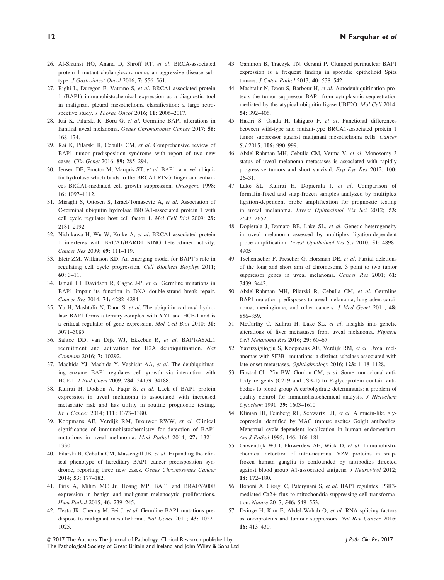- 26. Al-Shamsi HO, Anand D, Shroff RT, et al. BRCA-associated protein 1 mutant cholangiocarcinoma: an aggressive disease subtype. J Gastrointest Oncol 2016; 7: 556–561.
- 27. Righi L, Duregon E, Vatrano S, et al. BRCA1-associated protein 1 (BAP1) immunohistochemical expression as a diagnostic tool in malignant pleural mesothelioma classification: a large retrospective study. J Thorac Oncol 2016; 11: 2006-2017.
- 28. Rai K, Pilarski R, Boru G, et al. Germline BAP1 alterations in familial uveal melanoma. Genes Chromosomes Cancer 2017; 56: 168–174.
- 29. Rai K, Pilarski R, Cebulla CM, et al. Comprehensive review of BAP1 tumor predisposition syndrome with report of two new cases. Clin Genet 2016; 89: 285–294.
- 30. Jensen DE, Proctor M, Marquis ST, et al. BAP1: a novel ubiquitin hydrolase which binds to the BRCA1 RING finger and enhances BRCA1-mediated cell growth suppression. Oncogene 1998;  $16: 1097 - 1112$
- 31. Misaghi S, Ottosen S, Izrael-Tomasevic A, et al. Association of C-terminal ubiquitin hydrolase BRCA1-associated protein 1 with cell cycle regulator host cell factor 1. Mol Cell Biol 2009; 29: 2181–2192.
- 32. Nishikawa H, Wu W, Koike A, et al. BRCA1-associated protein 1 interferes with BRCA1/BARD1 RING heterodimer activity. Cancer Res 2009; 69: 111–119.
- 33. Eletr ZM, Wilkinson KD. An emerging model for BAP1's role in regulating cell cycle progression. Cell Biochem Biophys 2011; 60: 3–11.
- 34. Ismail IH, Davidson R, Gagne J-P, et al. Germline mutations in BAP1 impair its function in DNA double-strand break repair. Cancer Res 2014; 74: 4282–4294.
- 35. Yu H, Mashtalir N, Daou S, et al. The ubiquitin carboxyl hydrolase BAP1 forms a ternary complex with YY1 and HCF-1 and is a critical regulator of gene expression. Mol Cell Biol 2010; 30: 5071–5085.
- 36. Sahtoe DD, van Dijk WJ, Ekkebus R, et al. BAP1/ASXL1 recruitment and activation for H2A deubiquitination. Nat Commun 2016; 7: 10292.
- 37. Machida YJ, Machida Y, Vashisht AA, et al. The deubiquitinating enzyme BAP1 regulates cell growth via interaction with HCF-1. J Biol Chem 2009; 284: 34179–34188.
- 38. Kalirai H, Dodson A, Faqir S, et al. Lack of BAP1 protein expression in uveal melanoma is associated with increased metastatic risk and has utility in routine prognostic testing. Br J Cancer 2014; 111: 1373–1380.
- 39. Koopmans AE, Verdijk RM, Brouwer RWW, et al. Clinical significance of immunohistochemistry for detection of BAP1 mutations in uveal melanoma. Mod Pathol 2014; 27: 1321– 1330.
- 40. Pilarski R, Cebulla CM, Massengill JB, et al. Expanding the clinical phenotype of hereditary BAP1 cancer predisposition syndrome, reporting three new cases. Genes Chromosomes Cancer 2014; 53: 177–182.
- 41. Piris A, Mihm MC Jr, Hoang MP. BAP1 and BRAFV600E expression in benign and malignant melanocytic proliferations. Hum Pathol 2015; 46: 239–245.
- 42. Testa JR, Cheung M, Pei J, et al. Germline BAP1 mutations predispose to malignant mesothelioma. Nat Genet 2011; 43: 1022– 1025.
- 43. Gammon B, Traczyk TN, Gerami P. Clumped perinuclear BAP1 expression is a frequent finding in sporadic epithelioid Spitz tumors. J Cutan Pathol 2013; 40: 538–542.
- 44. Mashtalir N, Daou S, Barbour H, et al. Autodeubiquitination protects the tumor suppressor BAP1 from cytoplasmic sequestration mediated by the atypical ubiquitin ligase UBE2O. Mol Cell 2014; 54: 392–406.
- 45. Hakiri S, Osada H, Ishiguro F, et al. Functional differences between wild-type and mutant-type BRCA1-associated protein 1 tumor suppressor against malignant mesothelioma cells. Cancer Sci 2015: **106:** 990-999.
- 46. Abdel-Rahman MH, Cebulla CM, Verma V, et al. Monosomy 3 status of uveal melanoma metastases is associated with rapidly progressive tumors and short survival. Exp Eye Res 2012; 100: 26–31.
- 47. Lake SL, Kalirai H, Dopierala J, et al. Comparison of formalin-fixed and snap-frozen samples analyzed by multiplex ligation-dependent probe amplification for prognostic testing in uveal melanoma. Invest Ophthalmol Vis Sci 2012; 53: 2647–2652.
- 48. Dopierala J, Damato BE, Lake SL, et al. Genetic heterogeneity in uveal melanoma assessed by multiplex ligation-dependent probe amplification. Invest Ophthalmol Vis Sci 2010; 51: 4898– 4905.
- 49. Tschentscher F, Prescher G, Horsman DE, et al. Partial deletions of the long and short arm of chromosome 3 point to two tumor suppressor genes in uveal melanoma. Cancer Res 2001: 61: 3439–3442.
- 50. Abdel-Rahman MH, Pilarski R, Cebulla CM, et al. Germline BAP1 mutation predisposes to uveal melanoma, lung adenocarcinoma, meningioma, and other cancers. J Med Genet 2011; 48: 856–859.
- 51. McCarthy C, Kalirai H, Lake SL, et al. Insights into genetic alterations of liver metastases from uveal melanoma. Pigment Cell Melanoma Res 2016; 29: 60–67.
- 52. Yavuzyigitoglu S, Koopmans AE, Verdijk RM, et al. Uveal melanomas with SF3B1 mutations: a distinct subclass associated with late-onset metastases. Ophthalmology 2016; 123: 1118–1128.
- 53. Finstad CL, Yin BW, Gordon CM, et al. Some monoclonal antibody reagents (C219 and JSB-1) to P-glycoprotein contain antibodies to blood group A carbohydrate determinants: a problem of quality control for immunohistochemical analysis. J Histochem Cytochem 1991; 39: 1603–1610.
- 54. Kliman HJ, Feinberg RF, Schwartz LB, et al. A mucin-like glycoprotein identified by MAG (mouse ascites Golgi) antibodies. Menstrual cycle-dependent localization in human endometrium. Am J Pathol 1995; 146: 166–181.
- 55. Ouwendijk WJD, Flowerdew SE, Wick D, et al. Immunohistochemical detection of intra-neuronal VZV proteins in snapfrozen human ganglia is confounded by antibodies directed against blood group A1-associated antigens. J Neurovirol 2012; 18: 172–180.
- 56. Bononi A, Giorgi C, Patergnani S, et al. BAP1 regulates IP3R3 mediated Ca2+ flux to mitochondria suppressing cell transformation. Nature 2017; 546: 549–553.
- 57. Dvinge H, Kim E, Abdel-Wahab O, et al. RNA splicing factors as oncoproteins and tumour suppressors. Nat Rev Cancer 2016; 16: 413–430.